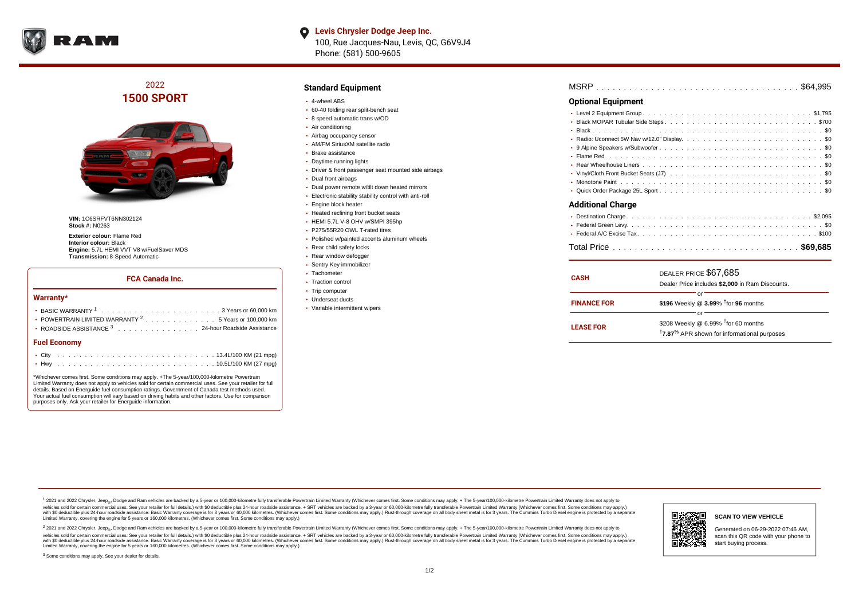

**Levis Chrysler Dodge Jeep Inc.** 100, Rue Jacques-Nau, Levis, QC, G6V9J4 Phone: (581) 500-9605

## 2022 **1500 SPORT**



**VIN:** 1C6SRFVT6NN302124 **Stock #:** N0263

**Exterior colour:** Flame Red **Interior colour:** Black **Engine:** 5.7L HEMI VVT V8 w/FuelSaver MDS **Transmission:** 8-Speed Automatic

#### **FCA Canada Inc.**

#### **Warranty\***

| <b>Fuel Economy</b>                                                                      |  |  |  |  |  |
|------------------------------------------------------------------------------------------|--|--|--|--|--|
| ROADSIDE ASSISTANCE 3 24-hour Roadside Assistance                                        |  |  |  |  |  |
| • POWERTRAIN LIMITED WARRANTY $2, \ldots, \ldots, \ldots, \ldots, 5$ Years or 100,000 km |  |  |  |  |  |
|                                                                                          |  |  |  |  |  |
|                                                                                          |  |  |  |  |  |

\*Whichever comes first. Some conditions may apply. +The 5-year/100,000-kilometre Powertrain Limited Warranty does not apply to vehicles sold for certain commercial uses. See your retailer for full details. Based on Energuide fuel consumption ratings. Government of Canada test methods used. Your actual fuel consumption will vary based on driving habits and other factors. Use for comparison purposes only. Ask your retailer for Energuide information.

#### **Standard Equipment**

- 4-wheel ABS
- 60-40 folding rear split-bench seat
- 8 speed automatic trans w/OD
- Air conditioning
- Airbag occupancy sensor
- AM/FM SiriusXM satellite radio
- Brake assistance
- Daytime running lights
- Driver & front passenger seat mounted side airbags
- Dual front airbags
- Dual power remote w/tilt down heated mirrors
- Electronic stability stability control with anti-roll
- Engine block heater
- Heated reclining front bucket seats
- HEMI 5.7L V-8 OHV w/SMPI 395hp
- P275/55R20 OWL T-rated tires
- Polished w/painted accents aluminum wheels
- Rear child safety locks
- Rear window defogger
- Sentry Key immobilizer
- Tachometer
- Traction control
- 
- 
- Trip computer
- Underseat ducts
- Variable intermittent wipers

| <b>MSRP</b> |  |  |  |  |  |  |  |  |  |  |  |  |  |  |  |  |  |  |  |  |  |  |  |  |  |  |  |  |  |  |  |  |  |  |  |  |  |  |  |  |  |  |  |  |  |  |
|-------------|--|--|--|--|--|--|--|--|--|--|--|--|--|--|--|--|--|--|--|--|--|--|--|--|--|--|--|--|--|--|--|--|--|--|--|--|--|--|--|--|--|--|--|--|--|--|
|-------------|--|--|--|--|--|--|--|--|--|--|--|--|--|--|--|--|--|--|--|--|--|--|--|--|--|--|--|--|--|--|--|--|--|--|--|--|--|--|--|--|--|--|--|--|--|--|

### **Optional Equipment**

| <b>Additional Charge</b> |  |
|--------------------------|--|

| <b>CASH</b>        | DEALER PRICE \$67,685<br>Dealer Price includes \$2,000 in Ram Discounts.                                                  |  |  |  |  |  |  |  |  |  |
|--------------------|---------------------------------------------------------------------------------------------------------------------------|--|--|--|--|--|--|--|--|--|
| <b>FINANCE FOR</b> | Ωľ<br>\$196 Weekly @ $3.99\%$ <sup>†</sup> for 96 months                                                                  |  |  |  |  |  |  |  |  |  |
|                    | Ωľ                                                                                                                        |  |  |  |  |  |  |  |  |  |
| <b>LEASE FOR</b>   | \$208 Weekly @ $6.99\%$ <sup>†</sup> for 60 months<br><sup>†</sup> 7.87 <sup>%</sup> APR shown for informational purposes |  |  |  |  |  |  |  |  |  |

<sup>1</sup> 2021 and 2022 Chrysler, Jeep<sub>®</sub>, Dodge and Ram vehicles are backed by a 5-year or 100,000-kilometre fully transferable Powertrain Limited Warranty (Whichever comes first. Some conditions may apply. + The 5-year/100,000 vehicles sold for certain commercial uses. See your retailer for full details.) with \$0 deductible plus 24 hour roadside assistance. + SRT vehicles are backed by a 3-year or 60,000-kilometre fully transferable Powertrain L versus and contract the mean of the contract of the contract with a contract with a contract the contract of the contract of the contract the contract of the contract of the contract of the contract of the contract of the Limited Warranty, covering the engine for 5 years or 160,000 kilometres. (Whichever comes first. Some conditions may apply.)

2 2021 and 2022 Chrysler, Jeep<sub>®</sub>, Dodge and Ram vehicles are backed by a 5-year or 100,000-kilometre fully transferable Powertrain Limited Warranty (Whichever comes first. Some conditions may apply. + The 5-year/100,000-k vehicles sold for certain commercial uses. See your retailer for full details.) with SO deductible plus 24-hour roadside assistance. + SRT vehicles are backed by a 3-year or 60.000-kilometre fully transferable Powertrain. with S0 deductible plus 24-hour roadside assistance. Basic Warranty coverage is for 3 years or 60,000 kilometres. (Whichever comes first. Some conditions may apply.) Rust-through coverage on all body sheet metal is for 3 y



**SCAN TO VIEW VEHICLE**

Generated on 06-29-2022 07:46 AM, scan this QR code with your phone to start buying process.

<sup>3</sup> Some conditions may apply. See your dealer for details.